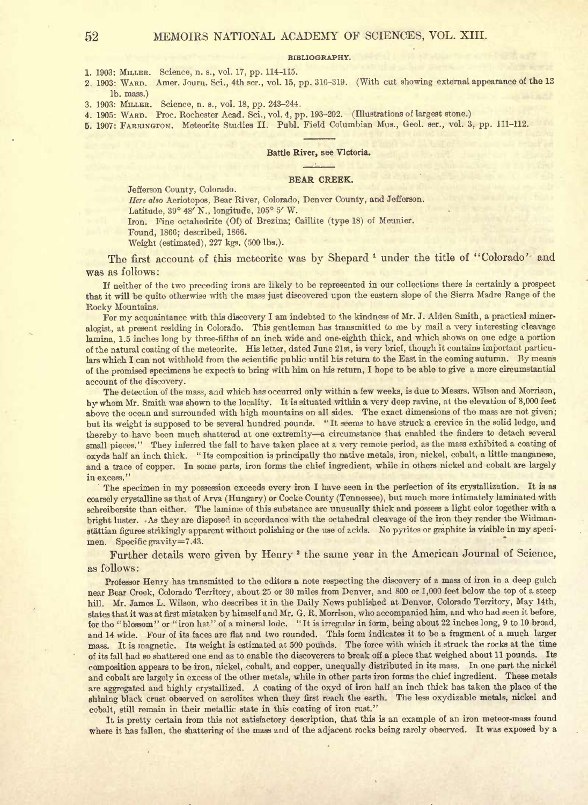### BIBLIOGRAPHY.

- 1. 1903: MILLER. Science, n. s., vol. 17, pp. 114-115.
- 2. 1903: WARD. Amer. Journ. Sci., 4th ser., vol. 15, pp. 316-319. (With cut showing external appearance of the <sup>13</sup> Ib. mass.)
- 3. 1903: MILLER. Science, n. a., vol. 18, pp. 243-244.
- 4. 1905: WARD. Proc. Rochester Acad. Sci., vol. 4, pp. 193-202. (Illustrations of largest stone.)
- 5. 1907: FARRINGTON. Meteorite Studies II. Publ. Field Columbian Mus., Geol. ser., vol. 3, pp. 111-112.

## Battle River, see Victoria.

## BEAR CREEK.

Jefferson County, Colorado.

Here also Aeriotopos, Bear River, Colorado, Denver County, and Jefferson.

Latitude, 39° 48' N., longitude, 105° 5' W.

Iron. Fine octahedrite (Of) of Brezina; Caillite (type 18) of Meunier.

Found, 1866; described, 1866.

Weight (estimated), 227 kgs. (500 Ibs.).

The first account of this meteorite was by Shepard <sup>1</sup> under the title of "Colorado'- and was as follows :

If neither of the two preceding irons are likely to be represented in our collections there is certainly <sup>a</sup> prospect that it will be quite otherwise with the mass just discovered upon the eastern slope of the Sierra Madre Range of the Rocky Mountains.

For my acquaintance with this discovery <sup>I</sup> am indebted to the kindness of Mr. J. Alden Smith, <sup>a</sup> practical mineralogist, at present residing in Colorado. This gentleman has transmitted to me by mail <sup>a</sup> very interesting cleavage lamina, 1.5 inches long by three-fifths of an inch wide and one-eighth thick, and which shows on one edge <sup>a</sup> portion of the natural coating of the meteorite. His letter, dated June 21st, is very brief, though it contains important particulars which <sup>I</sup> can not withhold from the scientific public until his return to the East in the coming autumn. By means of the promised specimens he expects to bring with him on his return, <sup>I</sup> hope to be able to give <sup>a</sup> more circumstantial account of the discovery.

The detection of the mass, and which has occurred only within <sup>a</sup> few weeks, is due to Messrs. Wilson and Morrison, bywhom Mr. Smith was shown to the locality. It is situated within <sup>a</sup> very deep ravine, at the elevation of 8,000 feet above the ocean and surrounded with high mountains on all sides. The exact dimensions of the mass are not given; but its weight is supposed to be several hundred pounds. " It seems to have struck a crevice in the solid ledge, and thereby to have been much shattered at one extremity-a circumstance that enabled the finders to detach several small pieces." They inferred the fall to have taken place at <sup>a</sup> very remote period, as the mass exhibited <sup>a</sup> coating of oxyds half an inch thick. " Its composition is principally the native metals, iron, nickel, cobalt, a little manganese, and <sup>a</sup> trace of copper. In some parts, iron forms the chief ingredient, while in others nickel and cobalt are largely in excess."

The specimen in my possession exceeds every iron I have seen in the perfection of its crystallization. It is as coarsely crystalline as that of Arva (Hungary) or Cocke County (Tennessee), but much more intimately laminated with schreibersite than either. The laminae of this substance are unusually thick and possess a light color together with a bright luster. As they are disposed in accordance with the octahedral cleavage of the iron they render the Widmanstattian figures strikingly apparent without polishing or the use of acids. No pyrites or graphite is visible in my speci men. Specific gravity=7.43.

Further details were given by Henry <sup>2</sup> the same year in the American Journal of Science, as follows :

Professor Henry has transmitted to the editors <sup>a</sup> note respecting the discovery of <sup>a</sup> mass of iron in <sup>a</sup> deep gulch near Bear Creek, Colorado Territory, about <sup>25</sup> or <sup>30</sup> miles from Denver, and <sup>800</sup> or 1,000 feet below the top of <sup>a</sup> steep hill. Mr. James L. Wilson, who describes it in the Daily News published at Denver, Colorado Territory, May 14th, states that it was at first mistaken by himself and Mr. G. R. Morrison, who accompanied him, and who had seen it before, for the "blossom" or "iron hat" of <sup>a</sup> mineral lode. " It is irregular in form, being about 22 inches long, <sup>9</sup> to 10 broad, and <sup>14</sup> wide. Four of its faces are flat and two rounded. This form indicates it to be <sup>a</sup> fragment of <sup>a</sup> much larger mass. It is magnetic. Its weight is estimated at <sup>500</sup> pounds. The force with which it struck the rocks at the time of its fall had so shattered one end as to enable the discoverers to break off a piece that weighed about <sup>11</sup> pounds. Ita composition appears to be iron, nickel, cobalt, and copper, unequally distributed in its mass. In one part the nickel and cobalt are largely in excess of the other metals, while in other parts iron forms the chief ingredient. These metals are aggregated and highly crystallized . A coating of the oxyd of iron half an inch thick has taken the place of the shining black crust observed on aerolites when they first reach the earth. The less oxydizable metals, nickel and cobalt, still remain in their metallic state in this coating of iron rust."

It is pretty certain from this not satisfactory description, that this is an example of an iron meteor-mass found where it has fallen, the shattering of the mass and of the adjacent rocks being rarely observed. It was exposed by <sup>a</sup>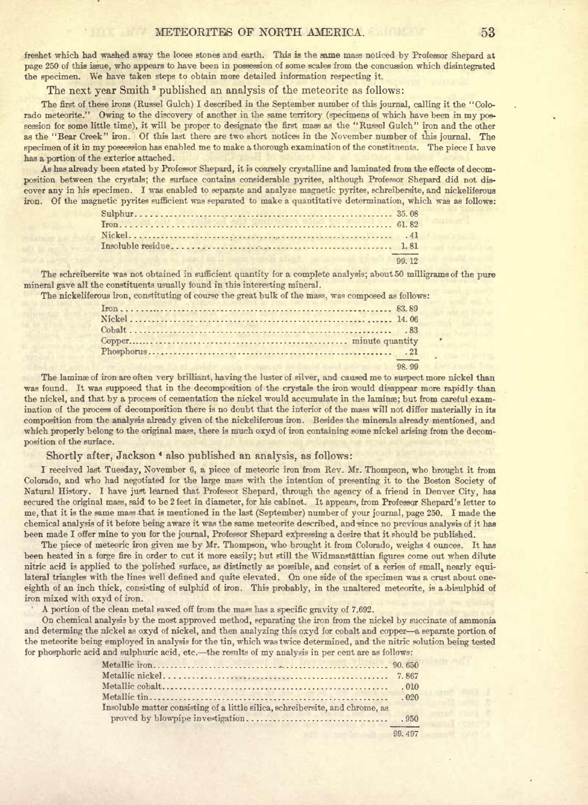freshet which had washed away the loose stones and earth. This is the same mass noticed by Professor Shepard at page <sup>250</sup> of this issue, who appears to have been in possession of some scales from the concussion which disintegrated the specimen. We have taken steps to obtain more detailed information respecting it.

The next year Smith<sup>3</sup> published an analysis of the meteorite as follows:

The first of these irons (Russel Gulch) <sup>I</sup> described in the September number of this journal, calling it the "Colorado meteorite." Owing to the discovery of another in the same territory (specimens of which have been in my possession for some little time), it will be proper to designate the first mass as the "Russel Gulch" iron and the other as the "Bear Creek" iron. Of this last there are two short notices in the November number of this journal. The specimen of it in my possession has enabled me to make <sup>a</sup> thorough examination of the constituents. The piece <sup>I</sup> have has a portion of the exterior attached.

As has already been stated by Professor Shepard, it is coarsely crystalline and laminated from the effects of decomposition between the crystals; the surface contains considerable pyrites, although Professor Shepard did not dis cover any in his specimen. <sup>I</sup> was enabled to separate and analyze magnetic pyrites, schreibersite, and nickeliferous iron. Of the magnetic pyrites sufficient was separated to make a quantitative determination, which was as follows:

The schreibersite was not obtained in sufficient quantity for a complete analysis; about 50 milligrams of the pure mineral gave all the constituents usually found in this interesting mineral.

The nickeliferous iron, constituting of course the great bulk of the mass, was composed as follows:

| 98.99<br>Good gaings on A |
|---------------------------|

The laminse of iron are often very brilliant, having the luster of silver, and caused me to suspect more nickel than was found. It was supposed that in the decomposition of the crystals the iron would disappear more rapidly than the nickel, and that by a process of cementation the nickel would accumulate in the laminae; but from careful examination of the process of decomposition there is no doubt that the interior of the mass will not differ materially in ita composition from the analysis already given of the nickeliferous iron. Besides the minerals already mentioned, and which properly belong to the original mass, there is much oxyd of iron containing some nickel arising from the decomposition of the surface.

# Shortly after, Jackson \* also published an analysis, as follows:

<sup>I</sup> received last Tuesday, November 6, <sup>a</sup> piece of meteoric iron from Rev. Mr. Thompson, who brought it from Colorado, and who had negotiated for the large mass with the intention of presenting it to the Boston Society of Natural History. <sup>I</sup> have just learned that Professor Shepard, through the agency of a friend in Denver City, has secured the original mass, said to be <sup>2</sup> feet in diameter, for his cabinet. It appears, from Professor Shepard's letter to me, that it is the same mass that is mentioned in the last (September) number of your journal, page 250. <sup>I</sup> made the chemical analysis of it before being aware it was the same meteorite described, and since no previous analysis of it has been made <sup>I</sup> offer mine to you for the journal, Professor Shepard expressing <sup>a</sup> desire that it should be published.

The piece of meteoric iron given me by Mr. Thompson, who brought it from Colorado, weighs <sup>4</sup> ounces. It has been heated in a forge fire in order to cut it more easily; but still the Widmanstattian figures come out when dilute nitric acid is applied to the polished surface, as distinctly as possible, and consist of <sup>a</sup> series of small, nearly equilateral triangles with the lines well defined and quite elevated. On one side of the specimen was <sup>a</sup> crust about oneeighth of an inch thick, consisting of sulphid of iron. This probably, in the unaltered meteorite, is a bisulphid of iron mixed with oxyd of iron.

A portion of the clean metal sawed off from the mass has a specific gravity of 7.692.<br>On chemical analysis by the most approved method, separating the iron from the nickel by succinate of ammonia and determing the nickel as oxyd of nickel, and then analyzing this oxyd for cobalt and copper—a separate portion of the meteorite being employed in analysis for the tin, which was twice determined, and the nitric solution being tested for phosphoric acid and sulphuric acid, etc.—the results of my analysis in per cent are as follows:

| 010                                                                                                                                                                                                                                        |        |
|--------------------------------------------------------------------------------------------------------------------------------------------------------------------------------------------------------------------------------------------|--------|
|                                                                                                                                                                                                                                            | .020   |
| Insoluble matter consisting of a little silica, schreibersite, and chrome, as                                                                                                                                                              |        |
|                                                                                                                                                                                                                                            |        |
| <b><i>Company of the Company of the Company of the Company of the Company of the Company of the Company of the Company of the Company of the Company of the Company of the Company of the Company of the Company of the Company of</i></b> | 99 497 |
|                                                                                                                                                                                                                                            |        |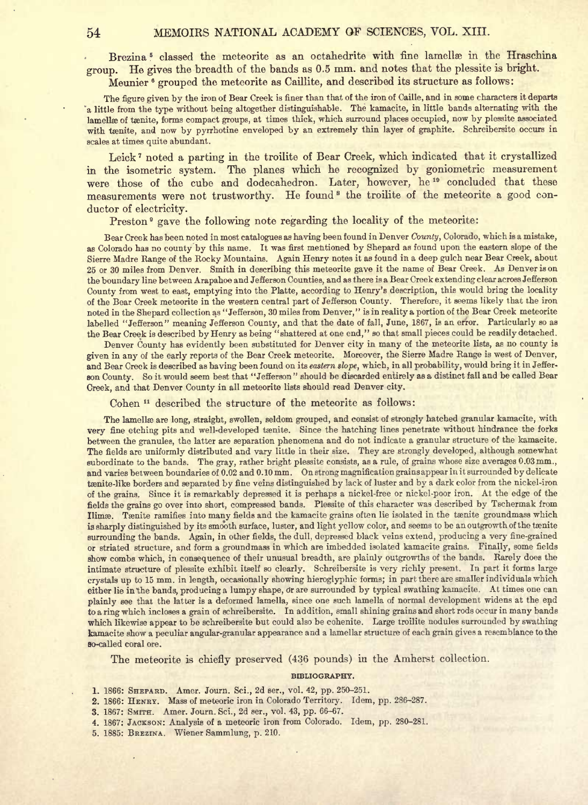Brezina<sup>5</sup> classed the meteorite as an octahedrite with fine lamellæ in the Hraschina group. He gives the breadth of the bands as 0.5 mm. and notes that the plessite is bright. Meunier <sup>6</sup> grouped the meteorite as Caillite, and described its structure as follows:

The figure given by the iron of Bear Creek is finer than that of the iron of Caille, and in some characters it departs 'a little from the type without being altogether distinguishable. The kamacite, in little bands alternating with the lamellæ of tænite, forms compact groups, at times thick, which surround places occupied, now by plessite associated with taenite, and now by pyrrhotine enveloped by an extremely thin layer of graphite. Schreibersite occurs in scales at times quite abundant.

Leick <sup>7</sup> noted <sup>a</sup> parting in the troilite of Bear Creek, which indicated that it crystallized in the isometric system. The planes which he recognized by goniometric measurement were those of the cube and dodecahedron. Later, however, he<sup>10</sup> concluded that these measurements were not trustworthy. He found<sup>s</sup> the troilite of the meteorite a good conductor of electricity.

Preston<sup>9</sup> gave the following note regarding the locality of the meteorite:

Bear Creek has been noted in most catalogues as having been found in Denver County, Colorado, which is <sup>a</sup> mistake, as Colorado has no county by this name. It was first mentioned by Shepard as found upon the eastern slope of the Sierre Madre Range of the Rocky Mountains. Again Henry notes it as found in <sup>a</sup> deep gulch near Bear Creek, about <sup>25</sup> or <sup>30</sup> miles from Denver. Smith in describing this meteorite gave it the name of Bear Creek. As Denver is on the boundary line between Arapahoe and Jefferson Counties, and as there is <sup>a</sup> Bear Creek extending clear across Jefferson County from west to east, emptying into the Platte, according to Henry's description, this would bring the locality of the Bear Creek meteorite in the western central part of Jefferson County. Therefore, it seems likely that the iron noted in the Shepard collection as "Jefferson, <sup>30</sup> miles from Denver," is in reality <sup>a</sup> portion of the Bear Creek meteorite labelled "Jefferson" meaning Jefferson County, and that the date of fall, June, 1867, is an error. Particularly so as the Bear Creek is described by Henry as being "shattered at one end," so that small pieces could be readily detached.

Denver County has evidently been substituted for Denver city in many of the meteorite lists, as no county is given in any of the early reports of the Bear Creek meteorite. Moreover, the Sierre Madre Range is west of Denver, and Bear Creek is described as having been found on its eastern slope, which, in all probability, would bring it in Jefferson County. So it would seem best that "Jefferson " should be discarded entirely as <sup>a</sup> distinct fall and be called Bear Creek, and that Denver County in all meteorite lists should read Denver city.

Cohen <sup>11</sup> described the structure of the meteorite as follows:

The lamellæ are long, straight, swollen, seldom grouped, and consist of strongly hatched granular kamacite, with very fine etching pits and well-developed tanite. Since the hatching lines penetrate without hindrance the forks between the granules, the latter are separation phenomena and do not indicate <sup>a</sup> granular structure of the kamacite. The fields are uniformly distributed and vary little in their size. They are strongly developed, although somewhat subordinate to the bands. The gray, rather bright plessite consists, as a rule, of grains whose size averages 0.03mm., and varies between boundaries of 0.02 and 0.10 mm. On strong magnification grains appear in it surrounded by delicate teenite-like borders and separated by fine veins distinguished by lack of luster and by a dark color from the nickel-iron of the grains. Since it is remarkably depressed it is perhaps <sup>a</sup> nickel-free or nickel-poor iron. At the edge of the fields the grains go over into short, compressed bands. Plessite of this character was described by Tschermak from Ilimse. Tenite ramifies into many fields and the kamacite grains often lie isolated in the tenite groundmass which is sharply distinguished by its smooth surface, luster, and light yellow color, and seems to be an outgrowth of the tanite surrounding the bands. Again, in other fields, the dull, depressed black veins extend, producing <sup>a</sup> very fine-grained or striated structure, and form <sup>a</sup> groundmass in which are imbedded isolated kamacite grains. Finally, some fields show combs which, in consequence of their unusual breadth, are plainly outgrowths of the bands. Rarely does the intimate structure of plessite exhibit itself so clearly. Schreibersite is very richly present. In part it forms large crystals up to <sup>15</sup> mm. in length, occasionally showing hieroglyphic forms; in part there are smaller individuals which either lie in the bands, producing a lumpy shape, or are surrounded by typical swathing kamacite. At times one can plainly see that the latter is <sup>a</sup> deformed lamella, since one such lamella of normal development widens at the end to <sup>a</sup> ring which incloses <sup>a</sup> grain of schreibersite. In addition, small shining grains and short rods occur in many bands which likewise appear to be schreibersite but could also be cohenite. Large troilite nodules surrounded by swathing kamacite show <sup>a</sup> peculiar angular-granular appearance and <sup>a</sup> lamellar structure of each grain gives a resemblance to the so-called coral ore.

The meteorite is chiefly preserved (436 pounds) in the Amherst collection.

#### BIBLIOGRAPHY.

- 1. 1866: SHEPARD. Amer. Journ. Sci., 2d ser., vol. 42, pp. 250-251.
- 2. 1866: HENRY. Mass of meteoric iron in Colorado Territory. Idem, pp. 286-287.
- 3. 1867: SMITH. Amer. Journ. Sci., 2d ser., vol. 43, pp. 66-67.
- 4. 1867: JACKSON: Analysis of a meteoric iron from Colorado. Idem, pp. 280-281.
- 5. 1885: BREZINA. Wiener Sammlung, p. 210.